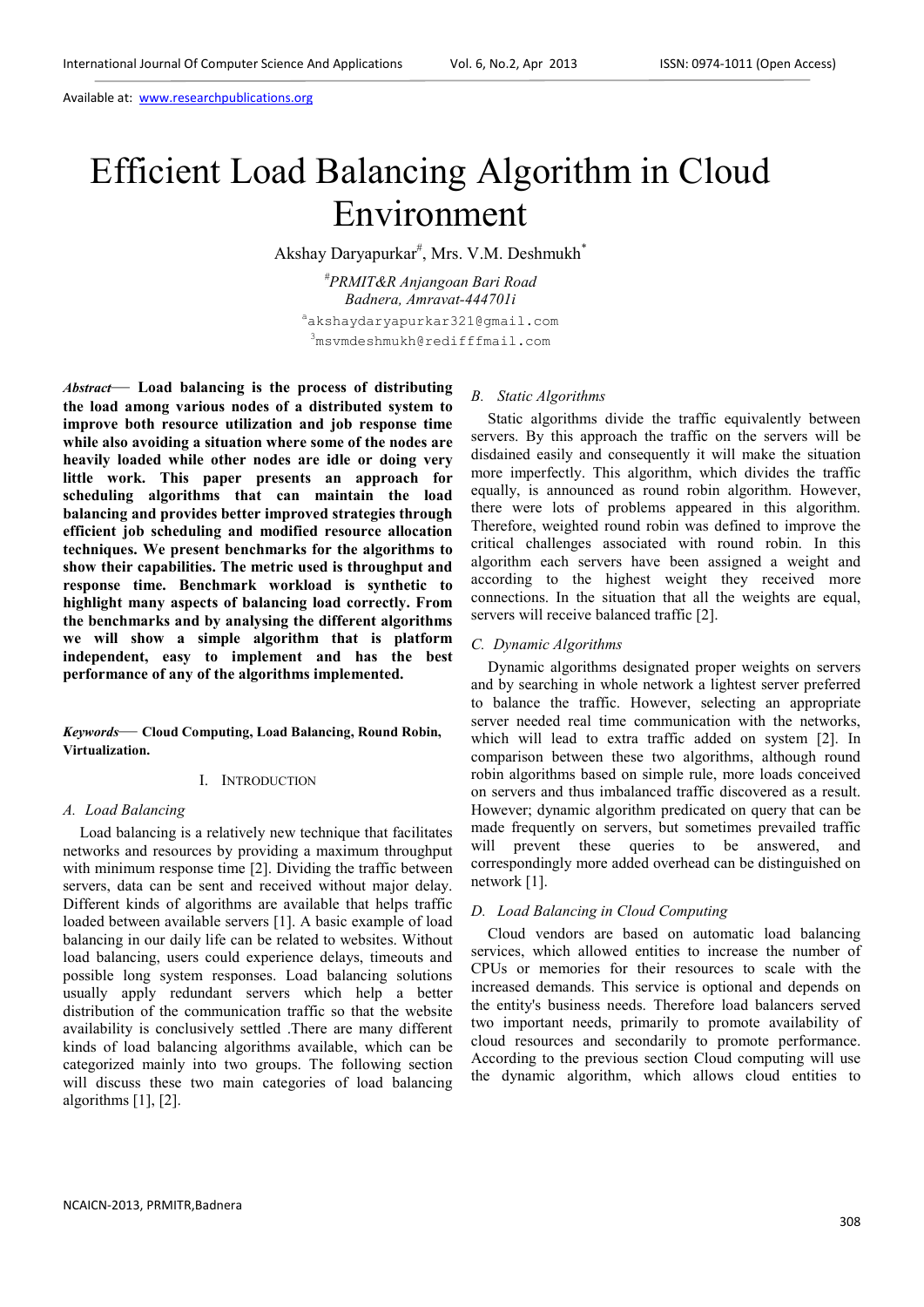# Efficient Load Balancing Algorithm in Cloud Environment

Akshay Daryapurkar<sup>#</sup>, Mrs. V.M. Deshmukh<sup>\*</sup>

*#PRMIT&R Anjangoan Bari Road Badnera, Amravat-444701i*  akshaydaryapurkar321@gmail.com <sup>3</sup>msvmdeshmukh@redifffmail.com

*Abstract*— **Load balancing is the process of distributing the load among various nodes of a distributed system to improve both resource utilization and job response time while also avoiding a situation where some of the nodes are heavily loaded while other nodes are idle or doing very little work. This paper presents an approach for scheduling algorithms that can maintain the load balancing and provides better improved strategies through efficient job scheduling and modified resource allocation techniques. We present benchmarks for the algorithms to show their capabilities. The metric used is throughput and response time. Benchmark workload is synthetic to highlight many aspects of balancing load correctly. From the benchmarks and by analysing the different algorithms we will show a simple algorithm that is platform independent, easy to implement and has the best performance of any of the algorithms implemented.** 

*Keywords*— **Cloud Computing, Load Balancing, Round Robin, Virtualization.**

## I. INTRODUCTION

#### *A. Load Balancing*

Load balancing is a relatively new technique that facilitates networks and resources by providing a maximum throughput with minimum response time [2]. Dividing the traffic between servers, data can be sent and received without major delay. Different kinds of algorithms are available that helps traffic loaded between available servers [1]. A basic example of load balancing in our daily life can be related to websites. Without load balancing, users could experience delays, timeouts and possible long system responses. Load balancing solutions usually apply redundant servers which help a better distribution of the communication traffic so that the website availability is conclusively settled .There are many different kinds of load balancing algorithms available, which can be categorized mainly into two groups. The following section will discuss these two main categories of load balancing algorithms [1], [2].

## *B. Static Algorithms*

Static algorithms divide the traffic equivalently between servers. By this approach the traffic on the servers will be disdained easily and consequently it will make the situation more imperfectly. This algorithm, which divides the traffic equally, is announced as round robin algorithm. However, there were lots of problems appeared in this algorithm. Therefore, weighted round robin was defined to improve the critical challenges associated with round robin. In this algorithm each servers have been assigned a weight and according to the highest weight they received more connections. In the situation that all the weights are equal, servers will receive balanced traffic [2].

## *C. Dynamic Algorithms*

Dynamic algorithms designated proper weights on servers and by searching in whole network a lightest server preferred to balance the traffic. However, selecting an appropriate server needed real time communication with the networks, which will lead to extra traffic added on system [2]. In comparison between these two algorithms, although round robin algorithms based on simple rule, more loads conceived on servers and thus imbalanced traffic discovered as a result. However; dynamic algorithm predicated on query that can be made frequently on servers, but sometimes prevailed traffic will prevent these queries to be answered, and correspondingly more added overhead can be distinguished on network [1].

### *D. Load Balancing in Cloud Computing*

Cloud vendors are based on automatic load balancing services, which allowed entities to increase the number of CPUs or memories for their resources to scale with the increased demands. This service is optional and depends on the entity's business needs. Therefore load balancers served two important needs, primarily to promote availability of cloud resources and secondarily to promote performance. According to the previous section Cloud computing will use the dynamic algorithm, which allows cloud entities to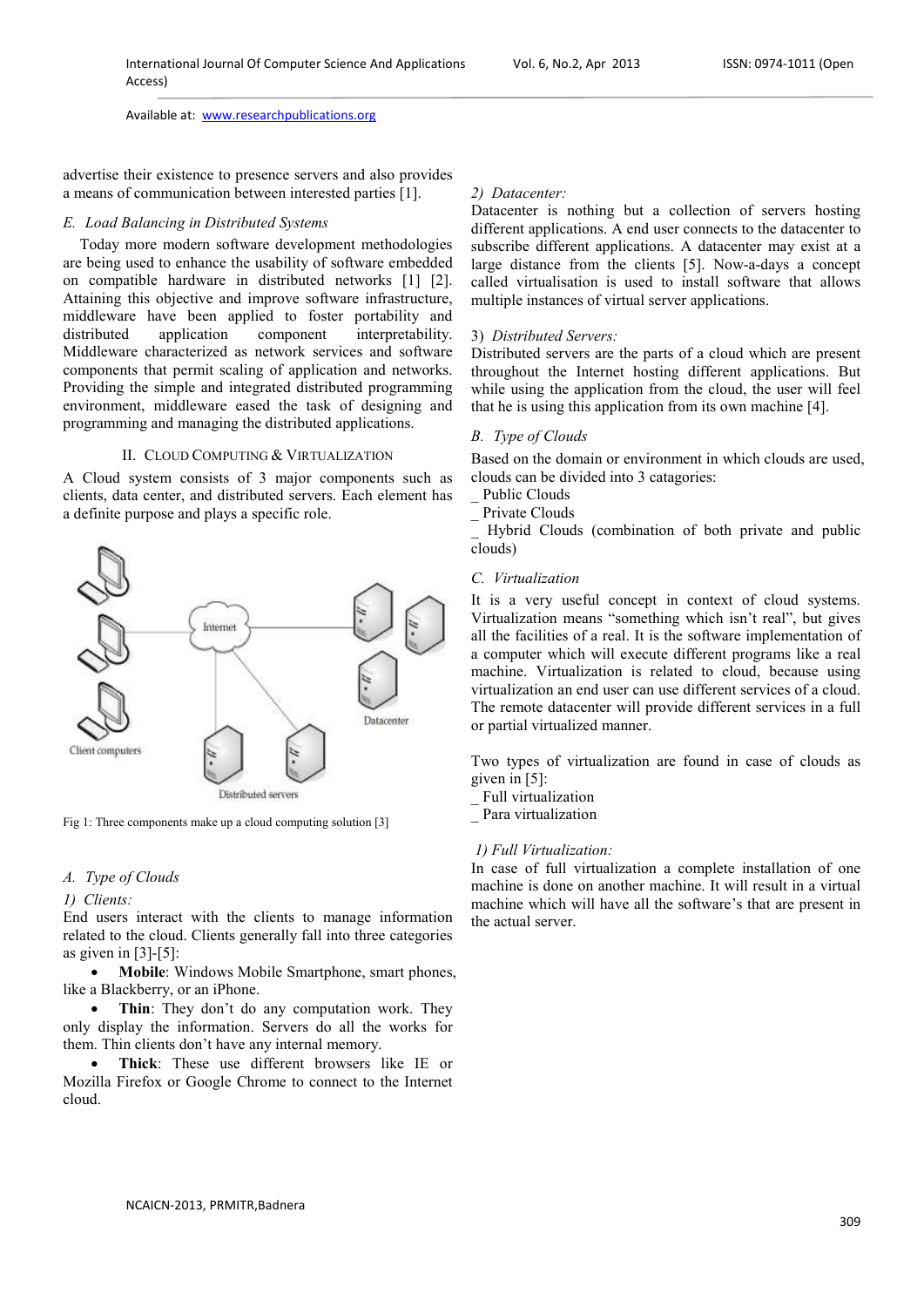advertise their existence to presence servers and also provides a means of communication between interested parties [1].

## *E. Load Balancing in Distributed Systems*

Today more modern software development methodologies are being used to enhance the usability of software embedded on compatible hardware in distributed networks [1] [2]. Attaining this objective and improve software infrastructure, middleware have been applied to foster portability and distributed application component interpretability. Middleware characterized as network services and software components that permit scaling of application and networks. Providing the simple and integrated distributed programming environment, middleware eased the task of designing and programming and managing the distributed applications.

## II. CLOUD COMPUTING & VIRTUALIZATION

A Cloud system consists of 3 major components such as clients, data center, and distributed servers. Each element has a definite purpose and plays a specific role.



Fig 1: Three components make up a cloud computing solution [3]

# *A. Type of Clouds*

#### *1) Clients:*

End users interact with the clients to manage information related to the cloud. Clients generally fall into three categories as given in  $[3]-[5]$ :

• **Mobile**: Windows Mobile Smartphone, smart phones, like a Blackberry, or an iPhone.

• **Thin**: They don't do any computation work. They only display the information. Servers do all the works for them. Thin clients don't have any internal memory.

• **Thick**: These use different browsers like IE or Mozilla Firefox or Google Chrome to connect to the Internet cloud.

#### *2) Datacenter:*

Datacenter is nothing but a collection of servers hosting different applications. A end user connects to the datacenter to subscribe different applications. A datacenter may exist at a large distance from the clients [5]. Now-a-days a concept called virtualisation is used to install software that allows multiple instances of virtual server applications.

## 3) *Distributed Servers:*

Distributed servers are the parts of a cloud which are present throughout the Internet hosting different applications. But while using the application from the cloud, the user will feel that he is using this application from its own machine [4].

## *B. Type of Clouds*

Based on the domain or environment in which clouds are used, clouds can be divided into 3 catagories:

- Public Clouds
- \_ Private Clouds

\_ Hybrid Clouds (combination of both private and public clouds)

#### *C. Virtualization*

It is a very useful concept in context of cloud systems. Virtualization means "something which isn't real", but gives all the facilities of a real. It is the software implementation of a computer which will execute different programs like a real machine. Virtualization is related to cloud, because using virtualization an end user can use different services of a cloud. The remote datacenter will provide different services in a full or partial virtualized manner.

Two types of virtualization are found in case of clouds as given in [5]:

- \_ Full virtualization
- \_ Para virtualization

## *1) Full Virtualization:*

In case of full virtualization a complete installation of one machine is done on another machine. It will result in a virtual machine which will have all the software's that are present in the actual server.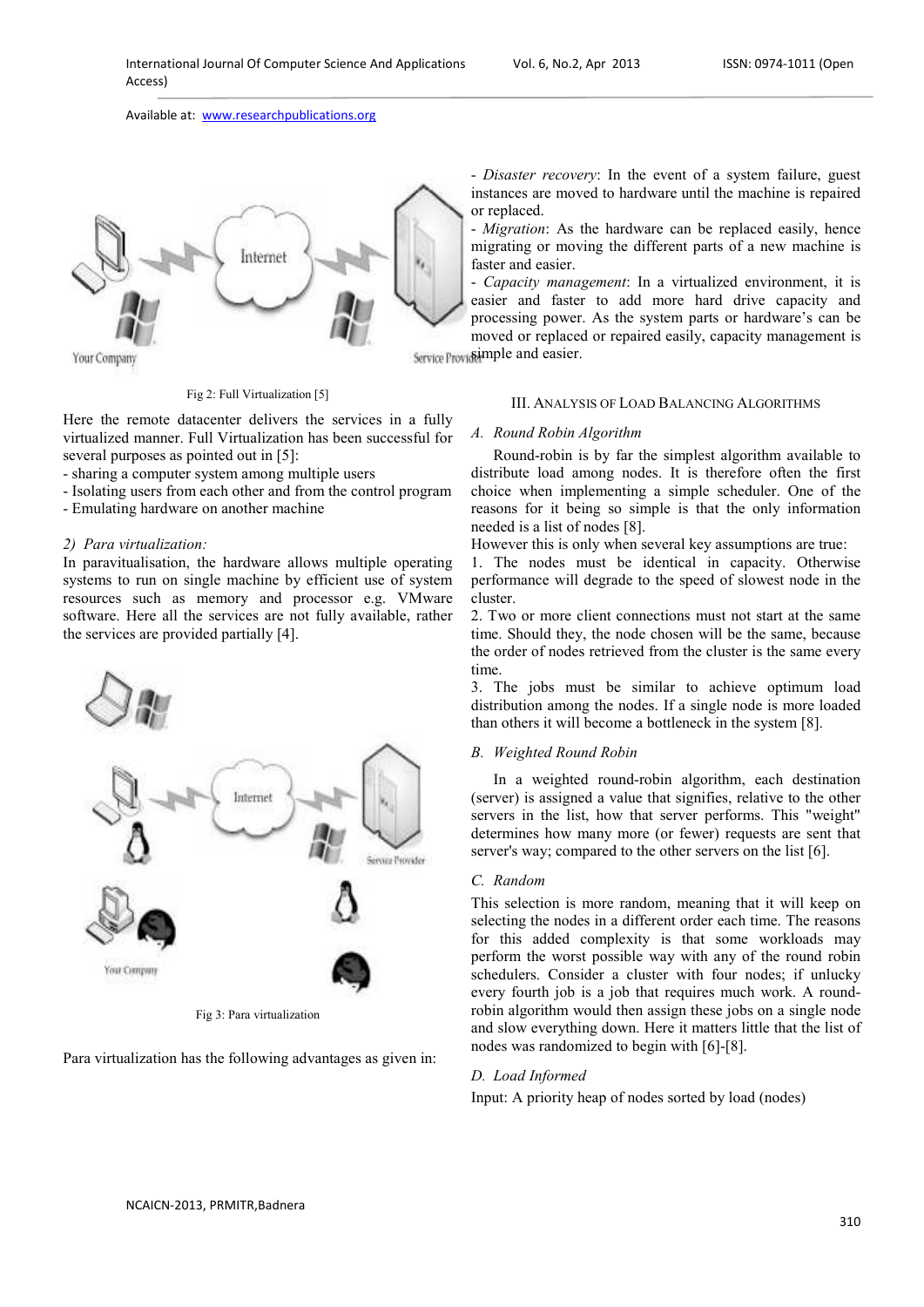

Fig 2: Full Virtualization [5]

Here the remote datacenter delivers the services in a fully virtualized manner. Full Virtualization has been successful for several purposes as pointed out in [5]:

- sharing a computer system among multiple users

- Isolating users from each other and from the control program

- Emulating hardware on another machine

## *2) Para virtualization:*

In paravitualisation, the hardware allows multiple operating systems to run on single machine by efficient use of system resources such as memory and processor e.g. VMware software. Here all the services are not fully available, rather the services are provided partially [4].



Fig 3: Para virtualization

Para virtualization has the following advantages as given in:

- *Disaster recovery*: In the event of a system failure, guest instances are moved to hardware until the machine is repaired or replaced.

- *Migration*: As the hardware can be replaced easily, hence migrating or moving the different parts of a new machine is faster and easier.

- *Capacity management*: In a virtualized environment, it is easier and faster to add more hard drive capacity and processing power. As the system parts or hardware's can be moved or replaced or repaired easily, capacity management is Service Provide imple and easier.

## III. ANALYSIS OF LOAD BALANCING ALGORITHMS

#### *A. Round Robin Algorithm*

Round-robin is by far the simplest algorithm available to distribute load among nodes. It is therefore often the first choice when implementing a simple scheduler. One of the reasons for it being so simple is that the only information needed is a list of nodes [8].

However this is only when several key assumptions are true:

1. The nodes must be identical in capacity. Otherwise performance will degrade to the speed of slowest node in the cluster.

2. Two or more client connections must not start at the same time. Should they, the node chosen will be the same, because the order of nodes retrieved from the cluster is the same every time.

3. The jobs must be similar to achieve optimum load distribution among the nodes. If a single node is more loaded than others it will become a bottleneck in the system [8].

#### *B. Weighted Round Robin*

In a weighted round-robin algorithm, each destination (server) is assigned a value that signifies, relative to the other servers in the list, how that server performs. This "weight" determines how many more (or fewer) requests are sent that server's way; compared to the other servers on the list [6].

# *C. Random*

This selection is more random, meaning that it will keep on selecting the nodes in a different order each time. The reasons for this added complexity is that some workloads may perform the worst possible way with any of the round robin schedulers. Consider a cluster with four nodes; if unlucky every fourth job is a job that requires much work. A roundrobin algorithm would then assign these jobs on a single node and slow everything down. Here it matters little that the list of nodes was randomized to begin with [6]-[8].

# *D. Load Informed*

Input: A priority heap of nodes sorted by load (nodes)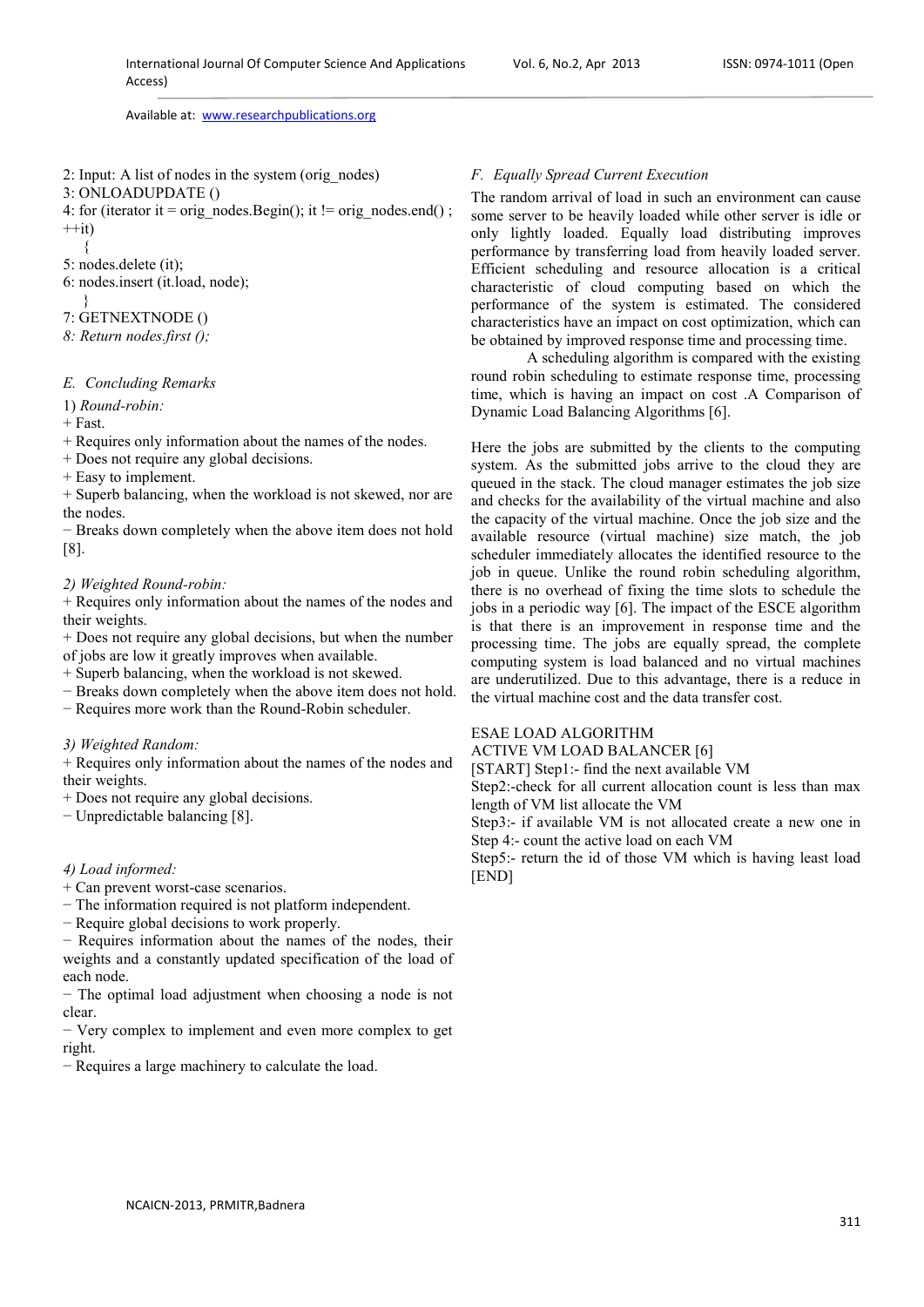- 2: Input: A list of nodes in the system (orig\_nodes)
- 3: ONLOADUPDATE ()
- 4: for (iterator it = orig\_nodes.Begin(); it != orig\_nodes.end();  $++it)$
- {
- 5: nodes.delete (it);
- 6: nodes.insert (it.load, node);
- }
- 7: GETNEXTNODE ()
- *8: Return nodes.first ();*

# *E. Concluding Remarks*

1) *Round-robin:*

 $+$  Fast.

+ Requires only information about the names of the nodes.

- + Does not require any global decisions.
- + Easy to implement.

+ Superb balancing, when the workload is not skewed, nor are the nodes.

− Breaks down completely when the above item does not hold [8].

# *2) Weighted Round-robin:*

+ Requires only information about the names of the nodes and their weights.

+ Does not require any global decisions, but when the number of jobs are low it greatly improves when available.

+ Superb balancing, when the workload is not skewed.

− Breaks down completely when the above item does not hold.

− Requires more work than the Round-Robin scheduler.

## *3) Weighted Random:*

+ Requires only information about the names of the nodes and their weights.

+ Does not require any global decisions.

− Unpredictable balancing [8].

#### *4) Load informed:*

- + Can prevent worst-case scenarios.
- − The information required is not platform independent.

− Require global decisions to work properly.

− Requires information about the names of the nodes, their weights and a constantly updated specification of the load of each node.

− The optimal load adjustment when choosing a node is not clear.

− Very complex to implement and even more complex to get right.

− Requires a large machinery to calculate the load.

# *F. Equally Spread Current Execution*

The random arrival of load in such an environment can cause some server to be heavily loaded while other server is idle or only lightly loaded. Equally load distributing improves performance by transferring load from heavily loaded server. Efficient scheduling and resource allocation is a critical characteristic of cloud computing based on which the performance of the system is estimated. The considered characteristics have an impact on cost optimization, which can be obtained by improved response time and processing time.

 A scheduling algorithm is compared with the existing round robin scheduling to estimate response time, processing time, which is having an impact on cost .A Comparison of Dynamic Load Balancing Algorithms [6].

Here the jobs are submitted by the clients to the computing system. As the submitted jobs arrive to the cloud they are queued in the stack. The cloud manager estimates the job size and checks for the availability of the virtual machine and also the capacity of the virtual machine. Once the job size and the available resource (virtual machine) size match, the job scheduler immediately allocates the identified resource to the job in queue. Unlike the round robin scheduling algorithm, there is no overhead of fixing the time slots to schedule the jobs in a periodic way [6]. The impact of the ESCE algorithm is that there is an improvement in response time and the processing time. The jobs are equally spread, the complete computing system is load balanced and no virtual machines are underutilized. Due to this advantage, there is a reduce in the virtual machine cost and the data transfer cost.

# ESAE LOAD ALGORITHM

ACTIVE VM LOAD BALANCER [6]

[START] Step1:- find the next available VM

Step2:-check for all current allocation count is less than max length of VM list allocate the VM

Step3:- if available VM is not allocated create a new one in Step 4:- count the active load on each VM

Step5:- return the id of those VM which is having least load [END]